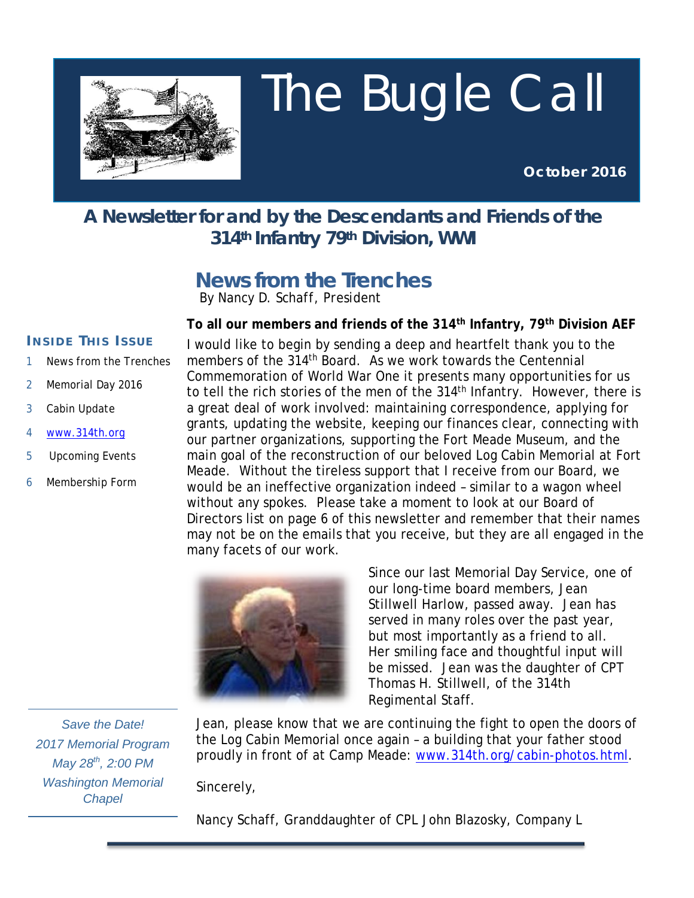

# The Bugle Call

**October 2016**

## **A Newsletter for and by the Descendants and Friends of the 314th Infantry 79th Division, WWI**

# **News from the Trenches**

*By Nancy D. Schaff, President*

#### **To all our members and friends of the 314th Infantry, 79th Division AEF**

#### **I NSIDE T HIS I SSUE**

- 1 News from the Trenches
- 2 Memorial Day 2016
- 3 Cabin Update
- 4 [www.314th.org](http://www.314th.org/)
- 5 Upcoming Events
- 6 Membership Form

I would like to begin by sending a deep and heartfelt thank you to the members of the 314th Board. As we work towards the Centennial Commemoration of World War One it presents many opportunities for us to tell the rich stories of the men of the 314<sup>th</sup> Infantry. However, there is a great deal of work involved: maintaining correspondence, applying for grants, updating the website, keeping our finances clear, connecting with our partner organizations, supporting the Fort Meade Museum, and the main goal of the reconstruction of our beloved Log Cabin Memorial at Fort Meade. Without the tireless support that I receive from our Board, we would be an ineffective organization indeed – similar to a wagon wheel without any spokes. Please take a moment to look at our Board of Directors list on page 6 of this newsletter and remember that their names may not be on the emails that you receive, but they are all engaged in the many facets of our work.



Since our last Memorial Day Service, one of our long-time board members, Jean Stillwell Harlow, passed away. Jean has served in many roles over the past year, but most importantly as a friend to all. Her smiling face and thoughtful input will be missed. Jean was the daughter of CPT Thomas H. Stillwell, of the 314th Regimental Staff.

*Save the Date! 2017 Memorial Program May 28th, 2:00 PM Washington Memorial Chapel*

Jean, please know that we are continuing the fight to open the doors of the Log Cabin Memorial once again – a building that your father stood proudly in front of at Camp Meade: [www.314th.org/cabin-photos.html.](http://www.314th.org/cabin-photos.html)

Sincerely,

Nancy Schaff, Granddaughter of CPL John Blazosky, Company L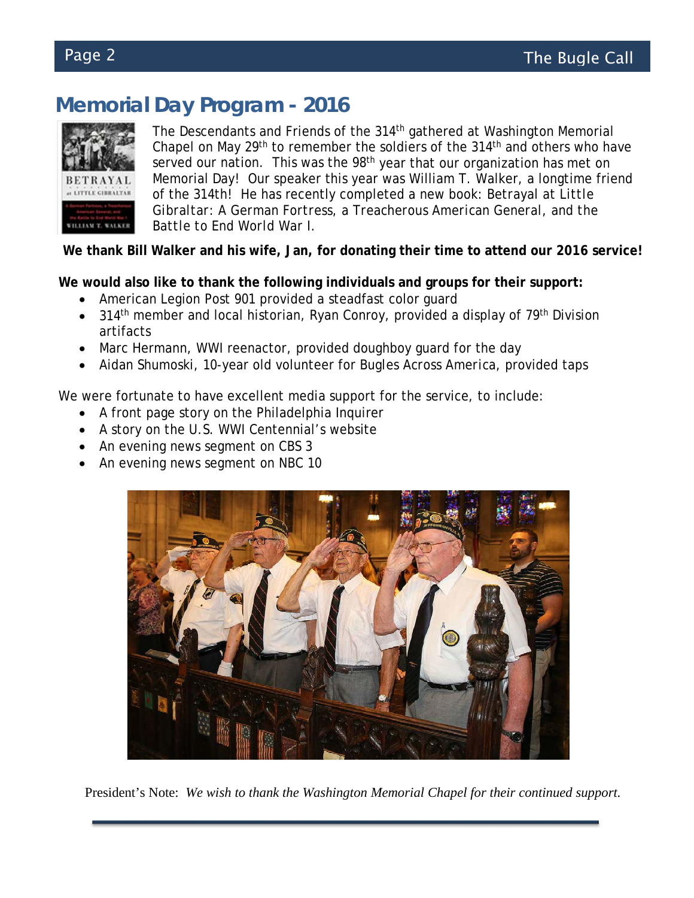# **Memorial Day Program - 2016**



The Descendants and Friends of the 314<sup>th</sup> gathered at Washington Memorial Chapel on May 29<sup>th</sup> to remember the soldiers of the 314<sup>th</sup> and others who have served our nation. This was the 98<sup>th</sup> year that our organization has met on Memorial Day! Our speaker this year was William T. Walker, a longtime friend of the 314th! He has recently completed a new book: *Betrayal at Little Gibraltar: A German Fortress, a Treacherous American General, and the Battle to End World War I.*

**We thank Bill Walker and his wife, Jan, for donating their time to attend our 2016 service!**

**We would also like to thank the following individuals and groups for their support:**

- American Legion Post 901 provided a steadfast color guard
- 314<sup>th</sup> member and local historian, Ryan Conroy, provided a display of  $79<sup>th</sup>$  Division artifacts
- Marc Hermann, WWI reenactor, provided doughboy guard for the day
- Aidan Shumoski, 10-year old volunteer for *Bugles Across America*, provided taps

We were fortunate to have excellent media support for the service, to include:

- A front page story on the Philadelphia Inquirer
- A story on the U.S. WWI Centennial's website
- An evening news segment on CBS 3
- An evening news segment on NBC 10



President's Note: *We wish to thank the Washington Memorial Chapel for their continued support.*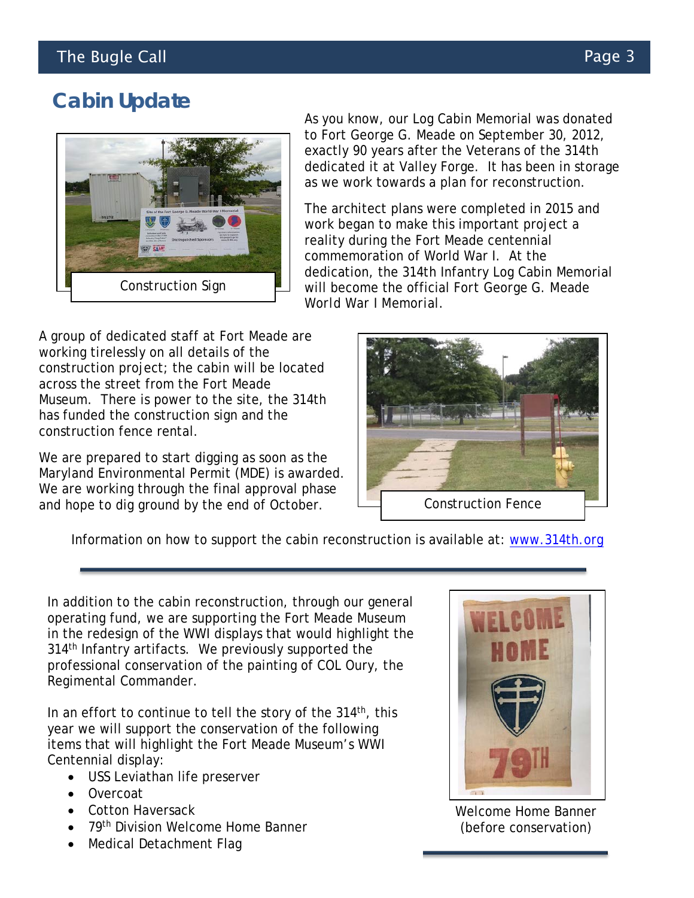# **Cabin Update**



As you know, our Log Cabin Memorial was donated to Fort George G. Meade on September 30, 2012, exactly 90 years after the Veterans of the 314th dedicated it at Valley Forge. It has been in storage as we work towards a plan for reconstruction.

The architect plans were completed in 2015 and work began to make this important project a reality during the Fort Meade centennial commemoration of World War I. At the dedication, the 314th Infantry Log Cabin Memorial will become the official *Fort George G. Meade World War I Memorial*.

 A group of dedicated staff at Fort Meade are working tirelessly on all details of the construction project; the cabin will be located across the street from the Fort Meade Museum. There is power to the site, the 314th has funded the construction sign and the construction fence rental.

 $\overline{a}$ We are prepared to start digging as soon as the Maryland Environmental Permit (MDE) is awarded. We are working through the final approval phase and hope to dig ground by the end of October.



Information on how to support the cabin reconstruction is available at: [www.314th.org](http://www.314th.org/)

In addition to the cabin reconstruction, through our general operating fund, we are supporting the Fort Meade Museum in the redesign of the WWI displays that would highlight the 314<sup>th</sup> Infantry artifacts. We previously supported the professional conservation of the painting of COL Oury, the Regimental Commander.

In an effort to continue to tell the story of the  $314<sup>th</sup>$ , this year we will support the conservation of the following items that will highlight the Fort Meade Museum's WWI Centennial display:

- USS Leviathan life preserver
- Overcoat
- Cotton Haversack
- 79<sup>th</sup> Division Welcome Home Banner
- Medical Detachment Flag



Welcome Home Banner (before conservation)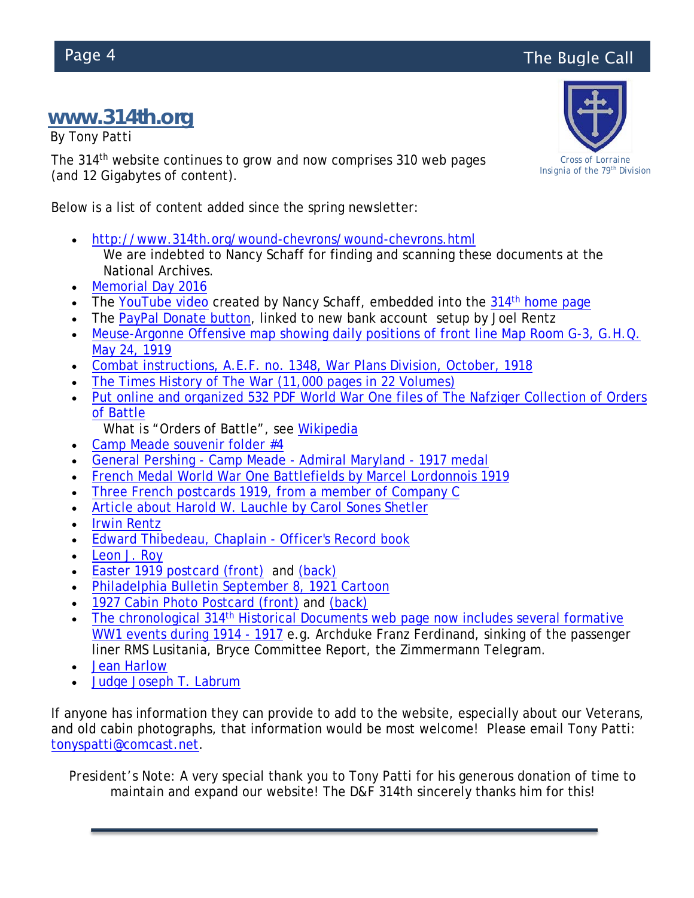# Page 4 **The Bugle Call**

## **[www.314th.org](http://www.314th.org/)**

*By Tony Patti*

The 314<sup>th</sup> website continues to grow and now comprises 310 web pages (and 12 Gigabytes of content).

Below is a list of content added since the spring newsletter:

- <http://www.314th.org/wound-chevrons/wound-chevrons.html> We are indebted to Nancy Schaff for finding and scanning these documents at the National Archives.
- [Memorial Day 2016](http://www.314th.org/Memorial-Day-2016/Memorial-Day-2016.html)
- The [YouTube video](https://youtu.be/ljgEwhodoiE) created by Nancy Schaff, embedded into the 314<sup>th</sup> [home page](http://www.314th.org/Combat-Instructions-AEF-1918.html)
- The [PayPal Donate button,](http://www.314th.org/#donate) linked to new bank account setup by Joel Rentz
- Meuse-Argonne Offensive map showing daily positions of front line Map Room G-3, G.H.O. [May 24, 1919](http://www.314th.org/Meuse-Argonne-Offensive-map-showing-daily-positions-of-front-line.html)
- [Combat instructions, A.E.F. no. 1348, War Plans Division, October, 1918](http://www.314th.org/Combat-Instructions-AEF-1918.html)
- [The Times History of The War \(11,000 pages in 22 Volumes\)](http://www.314th.org/times-history-of-the-war/times-history-of-the-war.html)
- [Put online and organized 532 PDF World War One files of The Nafziger Collection of Orders](http://www.314th.org/Nafziger-Collection-of-Orders-of-Battle/Nafziger-Collection-World-War-One.html)  [of Battle](http://www.314th.org/Nafziger-Collection-of-Orders-of-Battle/Nafziger-Collection-World-War-One.html)
	- What is "Orders of Battle", see [Wikipedia](https://en.wikipedia.org/wiki/Order_of_battle)
- [Camp Meade souvenir folder #4](http://www.314th.org/souvenir-folder-camp-meade/souvenir-folder-camp-meade.html)
- General Pershing Camp Meade [Admiral Maryland -](http://www.314th.org/General-Pershing-Camp-Meade-1917-medal.html) 1917 medal
- [French Medal World War One Battlefields by Marcel Lordonnois 1919](http://www.314th.org/79th-division-medal-by-Marcel-Lordonnois.html)
- [Three French postcards 1919, from a member of Company C](http://www.314th.org/Robert-P-Chamillard.html)
- [Article about Harold W. Lauchle by Carol Sones Shetler](http://www.314th.org/Harold-Lauchle.html)
- [Irwin Rentz](http://www.314th.org/Irwin-Rentz.html)
- [Edward Thibedeau, Chaplain -](http://www.314th.org/Edward-Thibedeau.html) Officer's Record book
- [Leon J. Roy](http://www.314th.org/Leon-J-Roy/Leon-J-Roy.html)
- [Easter 1919 postcard \(front\)](http://www.314th.org/postcard/easter-greetings-from-france-april-1919-front.JPG) and [\(back\)](http://www.314th.org/postcard/easter-greetings-from-france-april-1919-back.JPG)
- [Philadelphia Bulletin September 8, 1921 Cartoon](http://www.314th.org/Philadelphia-Bulletin-1921-Cartoon.html)
- [1927 Cabin Photo Postcard \(front\)](http://www.314th.org/postcard/314th-cabin-postcard-tent-inside-July-1927-front.jpg) and [\(back\)](http://www.314th.org/postcard/314th-cabin-postcard-tent-inside-July-1927-back.jpg)
- The chronological 314<sup>th</sup> Historical Documents web page now includes several formative [WW1 events during](http://www.314th.org/314th-historical-documents.html) 1914 - 1917 e.g. Archduke Franz Ferdinand, sinking of the passenger liner RMS Lusitania, Bryce Committee Report, the Zimmermann Telegram.
- [Jean Harlow](http://www.314th.org/jean-harlow.html)
- [Judge Joseph T. Labrum](http://www.314th.org/judge-labrum.html)

If anyone has information they can provide to add to the website, especially about our Veterans, and old cabin photographs, that information would be most welcome! Please email Tony Patti: [tonyspatti@comcast.net.](mailto:tonyspatti@comcast.net)

*President's Note:* A very special thank you to Tony Patti for his generous donation of time to maintain and expand our website! The D&F 314th sincerely thanks him for this!

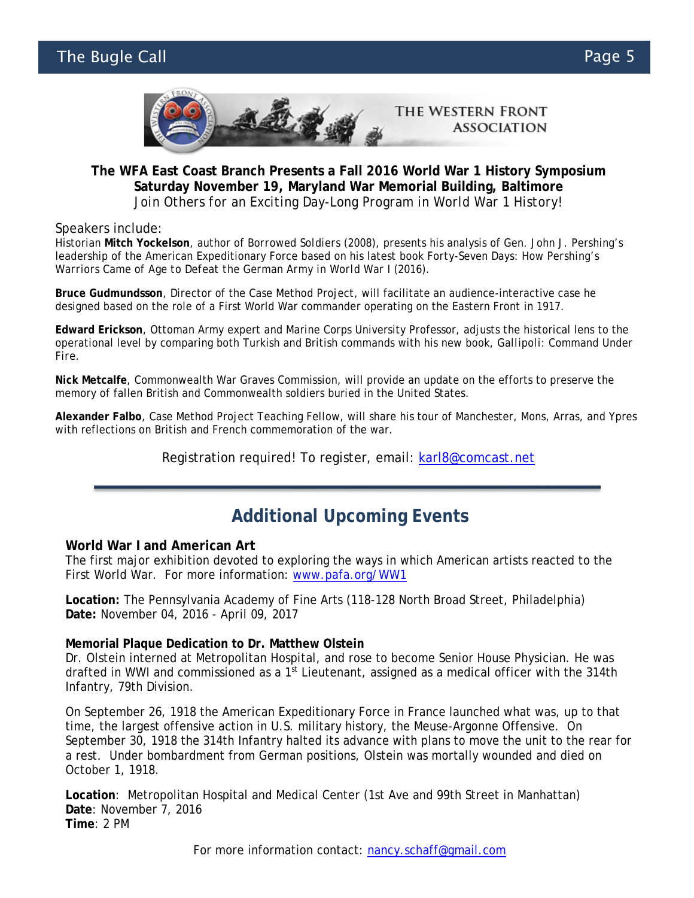#### The Bugle Call Page 5



#### **The WFA East Coast Branch Presents a Fall 2016 World War 1 History Symposium Saturday November 19, Maryland War Memorial Building, Baltimore** *Join Others for an Exciting Day-Long Program in World War 1 History!*

Speakers include:

Historian **Mitch Yockelson**, author of *Borrowed Soldiers* (2008), presents his analysis of Gen. John J. Pershing's leadership of the American Expeditionary Force based on his latest book *Forty-Seven Days: How Pershing's Warriors Came of Age to Defeat the German Army in World War I* (2016).

**Bruce Gudmundsson**, Director of the Case Method Project, will facilitate an audience-interactive case he designed based on the role of a First World War commander operating on the Eastern Front in 1917.

**Edward Erickson**, Ottoman Army expert and Marine Corps University Professor, adjusts the historical lens to the operational level by comparing both Turkish and British commands with his new book, *Gallipoli: Command Under Fire.*

**Nick Metcalfe**, Commonwealth War Graves Commission, will provide an update on the efforts to preserve the memory of fallen British and Commonwealth soldiers buried in the United States.

**Alexander Falbo**, Case Method Project Teaching Fellow, will share his tour of Manchester, Mons, Arras, and Ypres with reflections on British and French commemoration of the war.

Registration required! To register, email: [karl8@comcast.net](mailto:karl8@comcast.net)

#### **Additional Upcoming Events**

#### **World War I and American Art**

The first major exhibition devoted to exploring the ways in which American artists reacted to the First World War. For more information: [www.pafa.org/WW1](http://www.pafa.org/WW1)

**Location:** The Pennsylvania Academy of Fine Arts (118-128 North Broad Street, Philadelphia) **Date:** November 04, 2016 - April 09, 2017

#### **Memorial Plaque Dedication to Dr. Matthew Olstein**

Dr. Olstein interned at Metropolitan Hospital, and rose to become Senior House Physician. He was drafted in WWI and commissioned as a 1<sup>st</sup> Lieutenant, assigned as a medical officer with the 314th Infantry, 79th Division.

On September 26, 1918 the American Expeditionary Force in France launched what was, up to that time, the largest offensive action in U.S. military history, the Meuse-Argonne Offensive. On September 30, 1918 the 314th Infantry halted its advance with plans to move the unit to the rear for a rest. Under bombardment from German positions, Olstein was mortally wounded and died on October 1, 1918.

**Location**: Metropolitan Hospital and Medical Center (1st Ave and 99th Street in Manhattan) **Date**: November 7, 2016 **Time**: 2 PM

For more information contact: [nancy.schaff@gmail.com](mailto:nancy.schaff@gmail.com)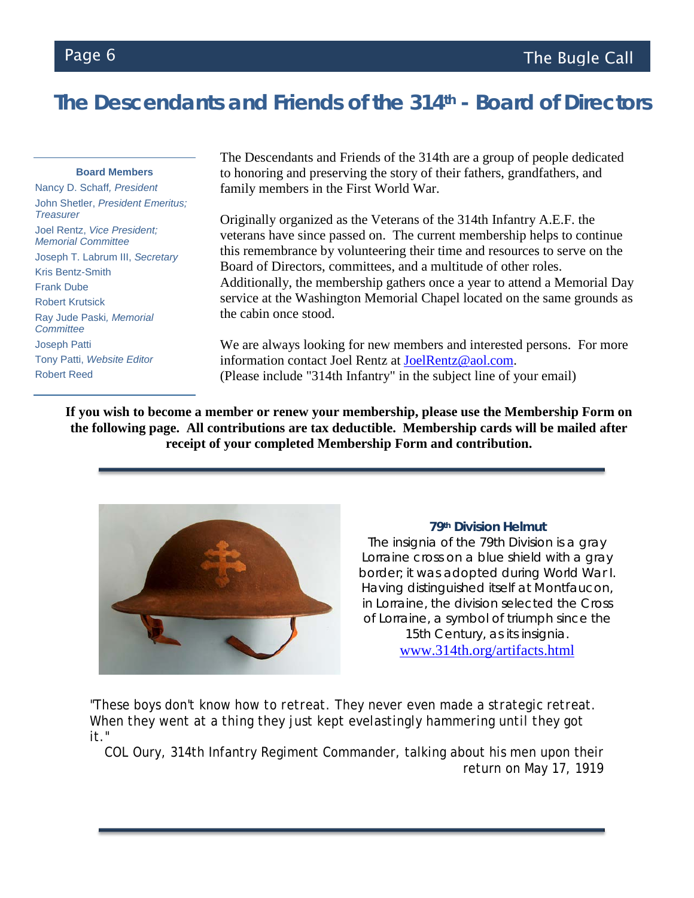# **The Descendants and Friends of the 314th - Board of Directors**

#### **Board Members**

Nancy D. Schaff*, President*  John Shetler, *President Emeritus; Treasurer* Joel Rentz, *Vice President; Memorial Committee*  Joseph T. Labrum III, *Secretary*  Kris Bentz-Smith Frank Dube Robert Krutsick Ray Jude Paski*, Memorial Committee* Joseph Patti Tony Patti, *Website Editor* Robert Reed

The Descendants and Friends of the 314th are a group of people dedicated to honoring and preserving the story of their fathers, grandfathers, and family members in the First World War.

Originally organized as the Veterans of the 314th Infantry A.E.F. the veterans have since passed on. The current membership helps to continue this remembrance by volunteering their time and resources to serve on the Board of Directors, committees, and a multitude of other roles. Additionally, the membership gathers once a year to attend a Memorial Day service at the Washington Memorial Chapel located on the same grounds as the cabin once stood.

We are always looking for new members and interested persons. For more information contact Joel Rentz at [JoelRentz@aol.com.](mailto:JoelRentz@aol.com) (Please include "314th Infantry" in the subject line of your email)

**If you wish to become a member or renew your membership, please use the Membership Form on the following page. All contributions are tax deductible. Membership cards will be mailed after receipt of your completed Membership Form and contribution.**



#### **79th Division Helmut**

The insignia of the 79th Division is a gray Lorraine cross on a blue shield with a gray border; it was adopted during World War I. Having distinguished itself at Montfaucon, in Lorraine, the division selected the Cross of Lorraine, a symbol of triumph since the 15th Century, as its insignia. [www.314th.org/artifacts.html](http://www.314th.org/artifacts.html)

*"These boys don't know how to retreat. They never even made a strategic retreat. When they went at a thing they just kept evelastingly hammering until they got it."*

COL Oury, 314th Infantry Regiment Commander, talking about his men upon their return on May 17, 1919